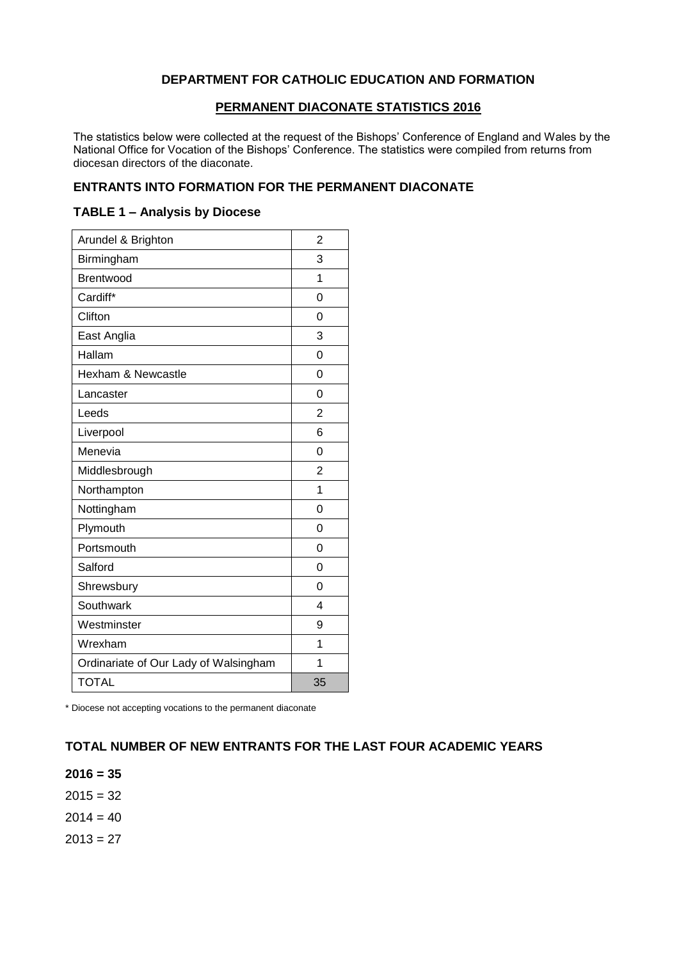## **DEPARTMENT FOR CATHOLIC EDUCATION AND FORMATION**

### **PERMANENT DIACONATE STATISTICS 2016**

The statistics below were collected at the request of the Bishops' Conference of England and Wales by the National Office for Vocation of the Bishops' Conference. The statistics were compiled from returns from diocesan directors of the diaconate.

#### **ENTRANTS INTO FORMATION FOR THE PERMANENT DIACONATE**

#### **TABLE 1 – Analysis by Diocese**

| Arundel & Brighton                    | $\overline{2}$ |
|---------------------------------------|----------------|
| Birmingham                            | 3              |
| <b>Brentwood</b>                      | 1              |
| Cardiff*                              | $\Omega$       |
| Clifton                               | 0              |
| East Anglia                           | 3              |
| Hallam                                | 0              |
| Hexham & Newcastle                    | 0              |
| Lancaster                             | 0              |
| Leeds                                 | 2              |
| Liverpool                             | 6              |
| Menevia                               | 0              |
| Middlesbrough                         | $\overline{2}$ |
| Northampton                           | 1              |
| Nottingham                            | $\Omega$       |
| Plymouth                              | 0              |
| Portsmouth                            | $\Omega$       |
| Salford                               | 0              |
| Shrewsbury                            | $\Omega$       |
| Southwark                             | 4              |
| Westminster                           | 9              |
| Wrexham                               | 1              |
| Ordinariate of Our Lady of Walsingham | 1              |
| <b>TOTAL</b>                          | 35             |

\* Diocese not accepting vocations to the permanent diaconate

## **TOTAL NUMBER OF NEW ENTRANTS FOR THE LAST FOUR ACADEMIC YEARS**

**2016 = 35**

 $2015 = 32$ 

 $2014 = 40$ 

 $2013 = 27$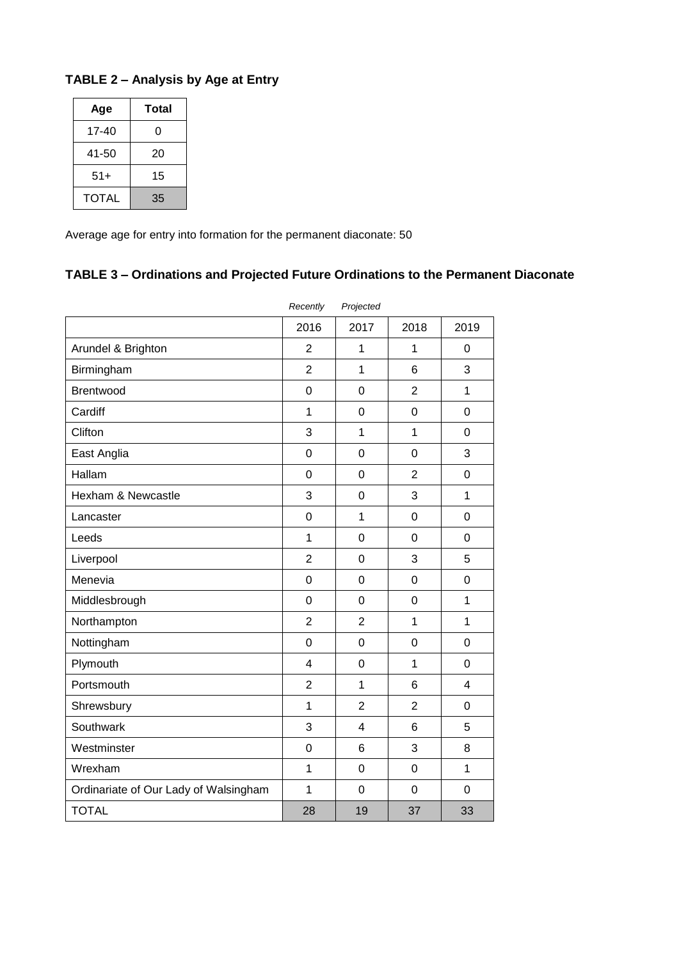## **TABLE 2 – Analysis by Age at Entry**

| Age          | Total |  |  |
|--------------|-------|--|--|
| 17-40        | 0     |  |  |
| 41-50        | 20    |  |  |
| $51+$        | 15    |  |  |
| <b>TOTAL</b> | 35    |  |  |

Average age for entry into formation for the permanent diaconate: 50

# **TABLE 3 – Ordinations and Projected Future Ordinations to the Permanent Diaconate**

|                                       | Recently       | Projected      |                |                |
|---------------------------------------|----------------|----------------|----------------|----------------|
|                                       | 2016           | 2017           | 2018           | 2019           |
| Arundel & Brighton                    | $\overline{2}$ | 1              | 1              | 0              |
| Birmingham                            | $\overline{2}$ | 1              | 6              | 3              |
| Brentwood                             | $\overline{0}$ | $\mathbf 0$    | $\overline{2}$ | $\mathbf{1}$   |
| Cardiff                               | $\mathbf{1}$   | 0              | $\overline{0}$ | $\overline{0}$ |
| Clifton                               | 3              | 1              | $\mathbf 1$    | $\overline{0}$ |
| East Anglia                           | $\overline{0}$ | 0              | $\overline{0}$ | 3              |
| Hallam                                | $\overline{0}$ | 0              | $\overline{2}$ | 0              |
| Hexham & Newcastle                    | 3              | 0              | 3              | $\mathbf{1}$   |
| Lancaster                             | $\overline{0}$ | 1              | $\overline{0}$ | 0              |
| Leeds                                 | $\mathbf{1}$   | $\overline{0}$ | $\overline{0}$ | $\mathbf 0$    |
| Liverpool                             | $\overline{2}$ | $\overline{0}$ | 3              | 5              |
| Menevia                               | $\overline{0}$ | $\overline{0}$ | $\overline{0}$ | $\overline{0}$ |
| Middlesbrough                         | $\overline{0}$ | $\overline{0}$ | $\overline{0}$ | $\mathbf{1}$   |
| Northampton                           | $\overline{2}$ | $\overline{2}$ | $\mathbf{1}$   | $\overline{1}$ |
| Nottingham                            | $\overline{0}$ | $\mathbf 0$    | $\overline{0}$ | $\mathbf 0$    |
| Plymouth                              | 4              | 0              | $\mathbf{1}$   | $\overline{0}$ |
| Portsmouth                            | $\overline{2}$ | $\mathbf{1}$   | 6              | 4              |
| Shrewsbury                            | 1              | $\overline{2}$ | $\overline{2}$ | $\overline{0}$ |
| Southwark                             | 3              | 4              | 6              | 5              |
| Westminster                           | $\overline{0}$ | 6              | 3              | 8              |
| Wrexham                               | $\mathbf{1}$   | 0              | $\overline{0}$ | 1              |
| Ordinariate of Our Lady of Walsingham | $\mathbf{1}$   | $\mathbf 0$    | $\mathbf 0$    | $\overline{0}$ |
| <b>TOTAL</b>                          | 28             | 19             | 37             | 33             |